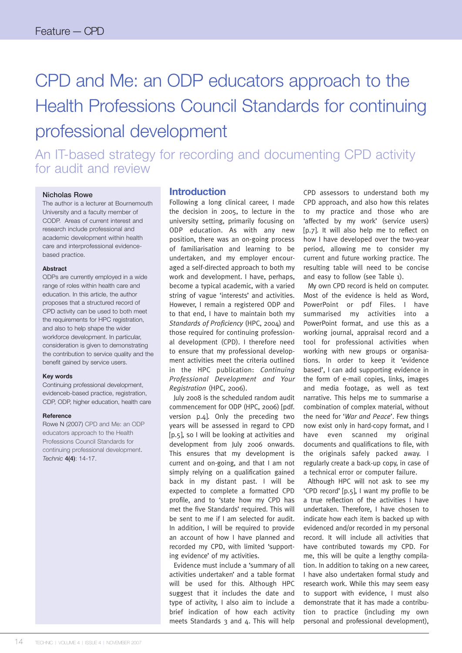# CPD and Me: an ODP educators approach to the Health Professions Council Standards for continuing professional development

An IT-based strategy for recording and documenting CPD activity for audit and review

#### **Nicholas Rowe**

The author is a lecturer at Bournemouth University and a faculty member of CODP. Areas of current interest and research include professional and academic development within health care and interprofessional evidencebased practice.

#### **Abstract**

ODPs are currently employed in a wide range of roles within health care and education. In this article, the author proposes that a structured record of CPD activity can be used to both meet the requirements for HPC registration, and also to help shape the wider workforce development. In particular, consideration is given to demonstrating the contribution to service quality and the benefit gained by service users.

#### **Key words**

Continuing professional development, evidenceb-based practice, registration, CDP, ODP, higher education, health care

#### **Reference**

Rowe N (2007) CPD and Me: an ODP educators approach to the Health Professions Council Standards for continuing professional development. *Technic* **4(4)**: 14-17.

#### **Introduction**

Following a long clinical career, I made the decision in 2005, to lecture in the university setting, primarily focusing on ODP education. As with any new position, there was an on-going process of familiarisation and learning to be undertaken, and my employer encouraged a self-directed approach to both my work and development. I have, perhaps, become a typical academic, with a varied string of vague 'interests' and activities. However, I remain a registered ODP and to that end, I have to maintain both my *Standards of Proficiency* (HPC, 2004) and those required for continuing professional development (CPD). I therefore need to ensure that my professional development activities meet the criteria outlined in the HPC publication: *Continuing Professional Development and Your Registration* (HPC, 2006).

July 2008 is the scheduled random audit commencement for ODP (HPC, 2006) [pdf. version p.4]. Only the preceding two years will be assessed in regard to CPD [p.5], so I will be looking at activities and development from July 2006 onwards. This ensures that my development is current and on-going, and that I am not simply relying on a qualification gained back in my distant past. I will be expected to complete a formatted CPD profile, and to 'state how my CPD has met the five Standards' required. This will be sent to me if I am selected for audit. In addition, I will be required to provide an account of how I have planned and recorded my CPD, with limited 'supporting evidence' of my activities.

Evidence must include a 'summary of all activities undertaken' and a table format will be used for this. Although HPC suggest that it includes the date and type of activity, I also aim to include a brief indication of how each activity meets Standards 3 and 4. This will help CPD assessors to understand both my CPD approach, and also how this relates to my practice and those who are 'affected by my work' (service users) [p.7]. It will also help me to reflect on how I have developed over the two-year period, allowing me to consider my current and future working practice. The resulting table will need to be concise and easy to follow (see Table 1).

My own CPD record is held on computer. Most of the evidence is held as Word, PowerPoint or pdf Files. I have summarised my activities into a PowerPoint format, and use this as a working journal, appraisal record and a tool for professional activities when working with new groups or organisations. In order to keep it 'evidence based', I can add supporting evidence in the form of e-mail copies, links, images and media footage, as well as text narrative. This helps me to summarise a combination of complex material, without the need for '*War and Peace*'. Few things now exist only in hard-copy format, and I have even scanned my original documents and qualifications to file, with the originals safely packed away. I regularly create a back-up copy, in case of a technical error or computer failure.

Although HPC will not ask to see my 'CPD record' [p.5], I want my profile to be a true reflection of the activities I have undertaken. Therefore, I have chosen to indicate how each item is backed up with evidenced and/or recorded in my personal record. It will include all activities that have contributed towards my CPD. For me, this will be quite a lengthy compilation. In addition to taking on a new career, I have also undertaken formal study and research work. While this may seem easy to support with evidence, I must also demonstrate that it has made a contribution to practice (including my own personal and professional development),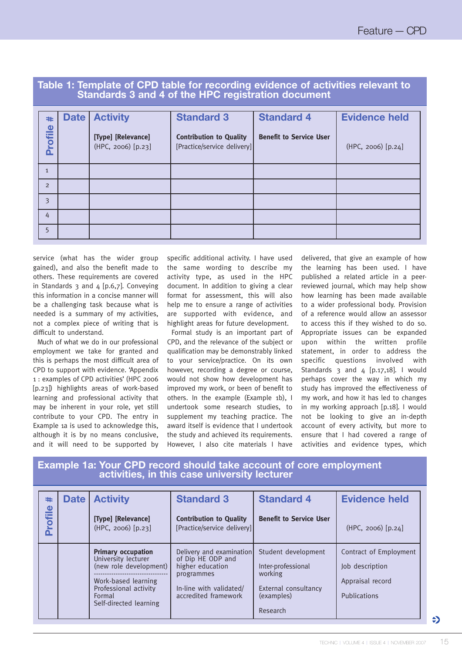# **Table 1: Template of CPD table for recording evidence of activities relevant to Standards 3 and 4 of the HPC registration document**

| #<br>Profile   | <b>Date</b> | <b>Activity</b><br>[Type] [Relevance]<br>(HPC, 2006) [p.23] | <b>Standard 3</b><br><b>Contribution to Quality</b><br>[Practice/service delivery] | <b>Standard 4</b><br><b>Benefit to Service User</b> | <b>Evidence held</b><br>(HPC, 2006) [p.24] |
|----------------|-------------|-------------------------------------------------------------|------------------------------------------------------------------------------------|-----------------------------------------------------|--------------------------------------------|
| $\mathbf{1}$   |             |                                                             |                                                                                    |                                                     |                                            |
| $\overline{2}$ |             |                                                             |                                                                                    |                                                     |                                            |
| 3              |             |                                                             |                                                                                    |                                                     |                                            |
| 4              |             |                                                             |                                                                                    |                                                     |                                            |
| 5              |             |                                                             |                                                                                    |                                                     |                                            |

service (what has the wider group gained), and also the benefit made to others. These requirements are covered in Standards 3 and 4 [p.6,7]. Conveying this information in a concise manner will be a challenging task because what is needed is a summary of my activities, not a complex piece of writing that is difficult to understand.

Much of what we do in our professional employment we take for granted and this is perhaps the most difficult area of CPD to support with evidence. 'Appendix 1 : examples of CPD activities' (HPC 2006 [p.23]) highlights areas of work-based learning and professional activity that may be inherent in your role, yet still contribute to your CPD. The entry in Example 1a is used to acknowledge this, although it is by no means conclusive, and it will need to be supported by

specific additional activity. I have used the same wording to describe my activity type, as used in the HPC document. In addition to giving a clear format for assessment, this will also help me to ensure a range of activities are supported with evidence, and highlight areas for future development.

Formal study is an important part of CPD, and the relevance of the subject or qualification may be demonstrably linked to your service/practice. On its own however, recording a degree or course, would not show how development has improved my work, or been of benefit to others. In the example (Example 1b), I undertook some research studies, to supplement my teaching practice. The award itself is evidence that I undertook the study and achieved its requirements. However, I also cite materials I have

delivered, that give an example of how the learning has been used. I have published a related article in a peerreviewed journal, which may help show how learning has been made available to a wider professional body. Provision of a reference would allow an assessor to access this if they wished to do so. Appropriate issues can be expanded upon within the written profile statement, in order to address the specific questions involved with Standards 3 and  $\alpha$  [p.17,18]. I would perhaps cover the way in which my study has improved the effectiveness of my work, and how it has led to changes in my working approach [p.18]. I would not be looking to give an in-depth account of every activity, but more to ensure that I had covered a range of activities and evidence types, which

## **Example 1a: Your CPD record should take account of core employment activities, in this case university lecturer**

| #<br>$\mathbf 0$<br>╾ | <b>Date</b> | <b>Activity</b>                                                                                                                                                | <b>Standard 3</b>                                                                                                                  | <b>Standard 4</b>                                                                                      | <b>Evidence held</b>                                                          |
|-----------------------|-------------|----------------------------------------------------------------------------------------------------------------------------------------------------------------|------------------------------------------------------------------------------------------------------------------------------------|--------------------------------------------------------------------------------------------------------|-------------------------------------------------------------------------------|
| Profil                |             | [Type] [Relevance]<br>(HPC, 2006) [p.23]                                                                                                                       | <b>Contribution to Quality</b><br>[Practice/service delivery]                                                                      | <b>Benefit to Service User</b>                                                                         | $(HPC, 2006)$ [p.24]                                                          |
|                       |             | <b>Primary occupation</b><br>University lecturer<br>(new role development)<br>Work-based learning<br>Professional activity<br>Formal<br>Self-directed learning | Delivery and examination<br>of Dip HE ODP and<br>higher education<br>programmes<br>In-line with validated/<br>accredited framework | Student development<br>Inter-professional<br>working<br>External consultancy<br>(examples)<br>Research | Contract of Employment<br>Job description<br>Appraisal record<br>Publications |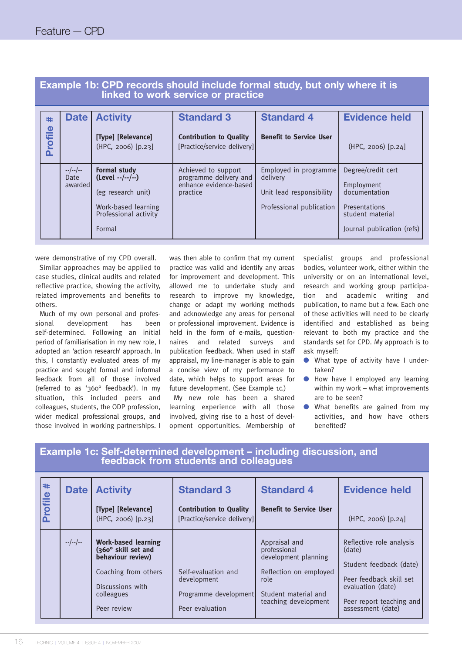|              | linked to work service or practice |                                                                                                                        |                                                                                     |                                                                                           |                                                                                                                      |  |
|--------------|------------------------------------|------------------------------------------------------------------------------------------------------------------------|-------------------------------------------------------------------------------------|-------------------------------------------------------------------------------------------|----------------------------------------------------------------------------------------------------------------------|--|
| #<br>Profile | <b>Date</b>                        | <b>Activity</b><br>[Type] [Relevance]<br>$(HPC, 2006)$ [p.23]                                                          | <b>Standard 3</b><br><b>Contribution to Quality</b><br>[Practice/service delivery]] | <b>Standard 4</b><br><b>Benefit to Service User</b>                                       | <b>Evidence held</b><br>$(HPC, 2006)$ [p.24]                                                                         |  |
|              | $-$ /--/--<br>Date<br>awarded      | <b>Formal study</b><br>$(Level -/-/-)$<br>(eg research unit)<br>Work-based learning<br>Professional activity<br>Formal | Achieved to support<br>programme delivery and<br>enhance evidence-based<br>practice | Employed in programme<br>delivery<br>Unit lead responsibility<br>Professional publication | Degree/credit cert<br>Employment<br>documentation<br>Presentations<br>student material<br>Journal publication (refs) |  |

# **Example 1b: CPD records should include formal study, but only where it is linked to work service or practice**

were demonstrative of my CPD overall.

Similar approaches may be applied to case studies, clinical audits and related reflective practice, showing the activity, related improvements and benefits to others.

Much of my own personal and professional development has been self-determined. Following an initial period of familiarisation in my new role, I adopted an 'action research' approach. In this, I constantly evaluated areas of my practice and sought formal and informal feedback from all of those involved (referred to as '360° feedback'). In my situation, this included peers and colleagues, students, the ODP profession, wider medical professional groups, and those involved in working partnerships. I

was then able to confirm that my current practice was valid and identify any areas for improvement and development. This allowed me to undertake study and research to improve my knowledge, change or adapt my working methods and acknowledge any areas for personal or professional improvement. Evidence is held in the form of e-mails, questionnaires and related surveys and publication feedback. When used in staff appraisal, my line-manager is able to gain a concise view of my performance to date, which helps to support areas for future development. (See Example 1c.)

My new role has been a shared learning experience with all those involved, giving rise to a host of development opportunities. Membership of specialist groups and professional bodies, volunteer work, either within the university or on an international level, research and working group participation and academic writing and publication, to name but a few. Each one of these activities will need to be clearly identified and established as being relevant to both my practice and the standards set for CPD. My approach is to ask myself:

- What type of activity have I undertaken?
- How have I employed any learning within my work – what improvements are to be seen?
- What benefits are gained from my activities, and how have others benefited?

| #<br>$\bullet$<br><b>Plilo</b> | <b>Date</b> | <b>Activity</b><br>[Type] [Relevance]<br>(HPC, 2006) [p.23]                                                                                     | <b>Standard 3</b><br><b>Contribution to Quality</b><br>[Practice/service delivery]] | <b>Standard 4</b><br><b>Benefit to Service User</b>                                                                                     | <b>Evidence held</b><br>$(HPC, 2006)$ [p.24]                                                                                                                   |
|--------------------------------|-------------|-------------------------------------------------------------------------------------------------------------------------------------------------|-------------------------------------------------------------------------------------|-----------------------------------------------------------------------------------------------------------------------------------------|----------------------------------------------------------------------------------------------------------------------------------------------------------------|
|                                | $-/-/-$     | <b>Work-based learning</b><br>(360° skill set and<br>behaviour review)<br>Coaching from others<br>Discussions with<br>colleagues<br>Peer review | Self-evaluation and<br>development<br>Programme development<br>Peer evaluation      | Appraisal and<br>professional<br>development planning<br>Reflection on employed<br>role<br>Student material and<br>teaching development | Reflective role analysis<br>(date)<br>Student feedback (date)<br>Peer feedback skill set<br>evaluation (date)<br>Peer report teaching and<br>assessment (date) |

### **Example 1c: Self-determined development – including discussion, and feedback from students and colleagues**